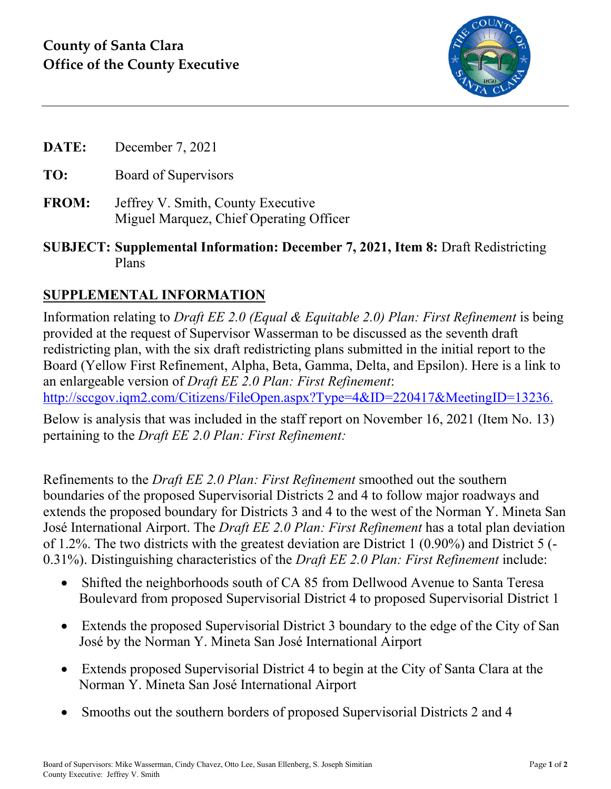

- **DATE:** December 7, 2021
- **TO:** Board of Supervisors
- **FROM:** Jeffrey V. Smith, County Executive Miguel Marquez, Chief Operating Officer
- **SUBJECT: Supplemental Information: December 7, 2021, Item 8:** Draft Redistricting Plans

## **SUPPLEMENTAL INFORMATION**

Information relating to *Draft EE 2.0 (Equal & Equitable 2.0) Plan: First Refinement* is being provided at the request of Supervisor Wasserman to be discussed as the seventh draft redistricting plan, with the six draft redistricting plans submitted in the initial report to the Board (Yellow First Refinement, Alpha, Beta, Gamma, Delta, and Epsilon). Here is a link to an enlargeable version of *Draft EE 2.0 Plan: First Refinement*: [http://sccgov.iqm2.com/Citizens/FileOpen.aspx?Type=4&ID=220417&MeetingID=13236.](http://sccgov.iqm2.com/Citizens/FileOpen.aspx?Type=4&ID=220417&MeetingID=13236)

Below is analysis that was included in the staff report on November 16, 2021 (Item No. 13) pertaining to the *Draft EE 2.0 Plan: First Refinement:*

Refinements to the *Draft EE 2.0 Plan: First Refinement* smoothed out the southern boundaries of the proposed Supervisorial Districts 2 and 4 to follow major roadways and extends the proposed boundary for Districts 3 and 4 to the west of the Norman Y. Mineta San José International Airport. The *Draft EE 2.0 Plan: First Refinement* has a total plan deviation of 1.2%. The two districts with the greatest deviation are District 1 (0.90%) and District 5 (- 0.31%). Distinguishing characteristics of the *Draft EE 2.0 Plan: First Refinement* include:

- Shifted the neighborhoods south of CA 85 from Dellwood Avenue to Santa Teresa Boulevard from proposed Supervisorial District 4 to proposed Supervisorial District 1
- Extends the proposed Supervisorial District 3 boundary to the edge of the City of San José by the Norman Y. Mineta San José International Airport
- Extends proposed Supervisorial District 4 to begin at the City of Santa Clara at the Norman Y. Mineta San José International Airport
- Smooths out the southern borders of proposed Supervisorial Districts 2 and 4